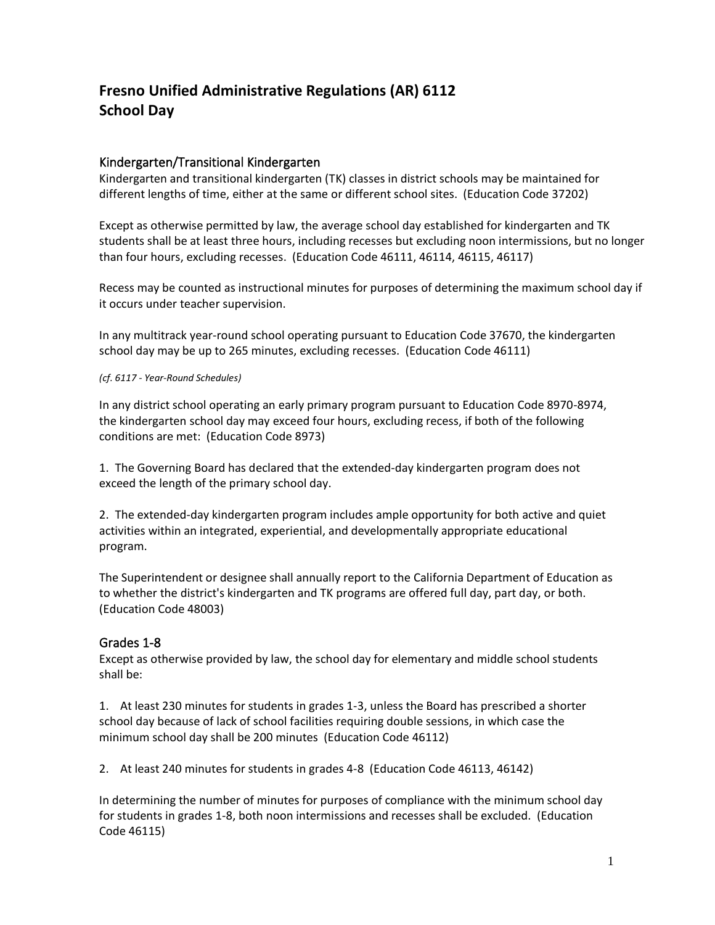# **Fresno Unified Administrative Regulations (AR) 6112 School Day**

# Kindergarten/Transitional Kindergarten

Kindergarten and transitional kindergarten (TK) classes in district schools may be maintained for different lengths of time, either at the same or different school sites. (Education Code 37202)

Except as otherwise permitted by law, the average school day established for kindergarten and TK students shall be at least three hours, including recesses but excluding noon intermissions, but no longer than four hours, excluding recesses. (Education Code 46111, 46114, 46115, 46117)

Recess may be counted as instructional minutes for purposes of determining the maximum school day if it occurs under teacher supervision.

In any multitrack year-round school operating pursuant to Education Code 37670, the kindergarten school day may be up to 265 minutes, excluding recesses. (Education Code 46111)

#### *(cf. 6117 - Year-Round Schedules)*

In any district school operating an early primary program pursuant to Education Code 8970-8974, the kindergarten school day may exceed four hours, excluding recess, if both of the following conditions are met: (Education Code 8973)

1. The Governing Board has declared that the extended-day kindergarten program does not exceed the length of the primary school day.

2. The extended-day kindergarten program includes ample opportunity for both active and quiet activities within an integrated, experiential, and developmentally appropriate educational program.

The Superintendent or designee shall annually report to the California Department of Education as to whether the district's kindergarten and TK programs are offered full day, part day, or both. (Education Code 48003)

### Grades 1-8

Except as otherwise provided by law, the school day for elementary and middle school students shall be:

1. At least 230 minutes for students in grades 1-3, unless the Board has prescribed a shorter school day because of lack of school facilities requiring double sessions, in which case the minimum school day shall be 200 minutes (Education Code 46112)

2. At least 240 minutes for students in grades 4-8 (Education Code 46113, 46142)

In determining the number of minutes for purposes of compliance with the minimum school day for students in grades 1-8, both noon intermissions and recesses shall be excluded. (Education Code 46115)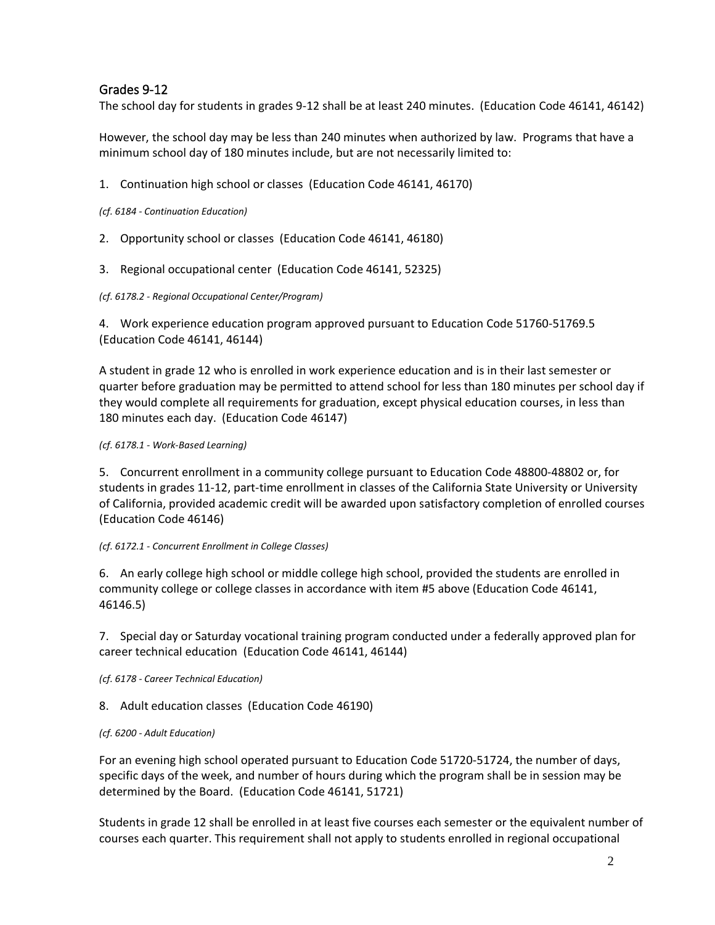# Grades 9-12

The school day for students in grades 9-12 shall be at least 240 minutes. (Education Code 46141, 46142)

However, the school day may be less than 240 minutes when authorized by law. Programs that have a minimum school day of 180 minutes include, but are not necessarily limited to:

1. Continuation high school or classes (Education Code 46141, 46170)

*(cf. 6184 - Continuation Education)*

- 2. Opportunity school or classes (Education Code 46141, 46180)
- 3. Regional occupational center (Education Code 46141, 52325)

#### *(cf. 6178.2 - Regional Occupational Center/Program)*

4. Work experience education program approved pursuant to Education Code 51760-51769.5 (Education Code 46141, 46144)

A student in grade 12 who is enrolled in work experience education and is in their last semester or quarter before graduation may be permitted to attend school for less than 180 minutes per school day if they would complete all requirements for graduation, except physical education courses, in less than 180 minutes each day. (Education Code 46147)

### *(cf. 6178.1 - Work-Based Learning)*

5. Concurrent enrollment in a community college pursuant to Education Code 48800-48802 or, for students in grades 11-12, part-time enrollment in classes of the California State University or University of California, provided academic credit will be awarded upon satisfactory completion of enrolled courses (Education Code 46146)

#### *(cf. 6172.1 - Concurrent Enrollment in College Classes)*

6. An early college high school or middle college high school, provided the students are enrolled in community college or college classes in accordance with item #5 above (Education Code 46141, 46146.5)

7. Special day or Saturday vocational training program conducted under a federally approved plan for career technical education (Education Code 46141, 46144)

*(cf. 6178 - Career Technical Education)*

8. Adult education classes (Education Code 46190)

### *(cf. 6200 - Adult Education)*

For an evening high school operated pursuant to Education Code 51720-51724, the number of days, specific days of the week, and number of hours during which the program shall be in session may be determined by the Board. (Education Code 46141, 51721)

Students in grade 12 shall be enrolled in at least five courses each semester or the equivalent number of courses each quarter. This requirement shall not apply to students enrolled in regional occupational